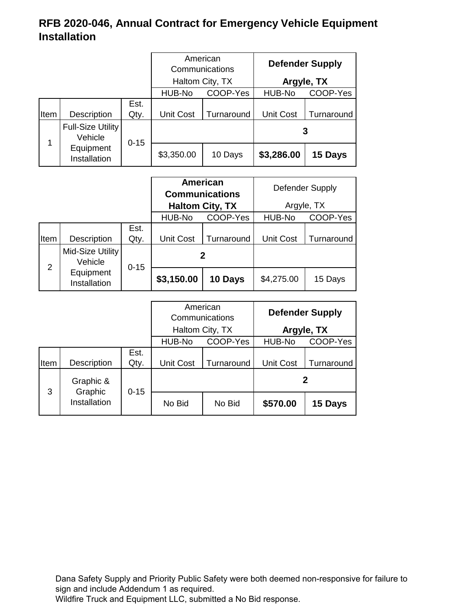|      |                                     | American<br>Communications |                    |            | <b>Defender Supply</b> |            |
|------|-------------------------------------|----------------------------|--------------------|------------|------------------------|------------|
|      |                                     | Haltom City, TX            |                    | Argyle, TX |                        |            |
|      |                                     |                            | HUB-No<br>COOP-Yes |            | HUB-No                 | COOP-Yes   |
| Item | Description                         | Est.<br>Qty.               | <b>Unit Cost</b>   | Turnaround | <b>Unit Cost</b>       | Turnaround |
| 1    | <b>Full-Size Utility</b><br>Vehicle | $0 - 15$                   |                    |            |                        | 3          |
|      | Equipment<br>Installation           |                            | \$3,350.00         | 10 Days    | \$3,286.00             | 15 Days    |

|      |                             |              | <b>American</b><br><b>Communications</b><br><b>Haltom City, TX</b> |            |                    | Defender Supply<br>Argyle, TX |
|------|-----------------------------|--------------|--------------------------------------------------------------------|------------|--------------------|-------------------------------|
|      |                             |              | COOP-Yes<br>HUB-No                                                 |            | HUB-No<br>COOP-Yes |                               |
| Item | Description                 | Est.<br>Qty. | <b>Unit Cost</b>                                                   | Turnaround | <b>Unit Cost</b>   | Turnaround                    |
| 2    | Mid-Size Utility<br>Vehicle | $0 - 15$     | 2                                                                  |            |                    |                               |
|      | Equipment<br>Installation   |              | \$3,150.00                                                         | 10 Days    | \$4,275.00         | 15 Days                       |

|              |                      | American<br>Communications |                  |            | <b>Defender Supply</b> |            |
|--------------|----------------------|----------------------------|------------------|------------|------------------------|------------|
|              |                      |                            | Haltom City, TX  |            |                        | Argyle, TX |
|              |                      |                            | HUB-No           | COOP-Yes   | HUB-No                 | COOP-Yes   |
| <b>I</b> tem | Description          | Est.<br>Qty.               | <b>Unit Cost</b> | Turnaround | <b>Unit Cost</b>       | Turnaround |
| 3            | Graphic &<br>Graphic | $0 - 15$                   |                  |            |                        | 2          |
|              | Installation         |                            | No Bid           | No Bid     | \$570.00               | 15 Days    |

Dana Safety Supply and Priority Public Safety were both deemed non-responsive for failure to sign and include Addendum 1 as required.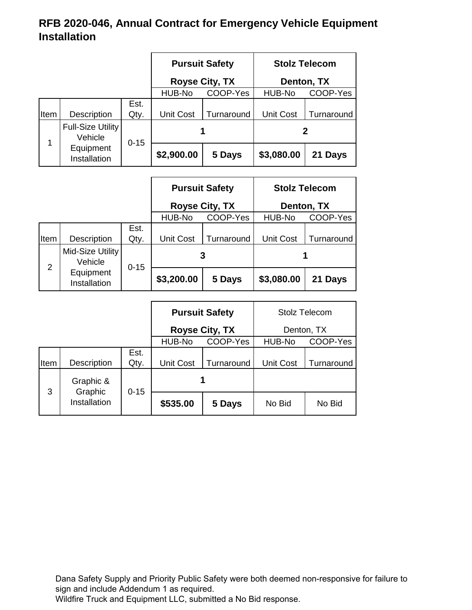|      |                                     |                       |                    | <b>Pursuit Safety</b> |                    | <b>Stolz Telecom</b> |
|------|-------------------------------------|-----------------------|--------------------|-----------------------|--------------------|----------------------|
|      |                                     | <b>Royse City, TX</b> |                    | Denton, TX            |                    |                      |
|      |                                     |                       | COOP-Yes<br>HUB-No |                       | HUB-No<br>COOP-Yes |                      |
| Item | Description                         | Est.<br>Qty.          | <b>Unit Cost</b>   | Turnaround            | <b>Unit Cost</b>   | Turnaround           |
|      | <b>Full-Size Utility</b><br>Vehicle | $0 - 15$              |                    |                       |                    | 2                    |
|      | Equipment<br>Installation           |                       | \$2,900.00         | 5 Days                | \$3,080.00         | 21 Days              |

|                |                             |              | <b>Pursuit Safety</b> |            | <b>Stolz Telecom</b> |            |
|----------------|-----------------------------|--------------|-----------------------|------------|----------------------|------------|
|                |                             |              | Royse City, TX        |            |                      | Denton, TX |
|                |                             |              | HUB-No                | COOP-Yes   | HUB-No               | COOP-Yes   |
| Iltem          | Description                 | Est.<br>Qty. | <b>Unit Cost</b>      | Turnaround | <b>Unit Cost</b>     | Turnaround |
| $\overline{2}$ | Mid-Size Utility<br>Vehicle | $0 - 15$     | 3                     |            |                      |            |
|                | Equipment<br>Installation   |              | \$3,200.00            | 5 Days     | \$3,080.00           | 21 Days    |

|      |                      |              | <b>Pursuit Safety</b> |            | <b>Stolz Telecom</b> |            |  |            |
|------|----------------------|--------------|-----------------------|------------|----------------------|------------|--|------------|
|      |                      |              | <b>Royse City, TX</b> |            |                      |            |  | Denton, TX |
|      |                      |              | HUB-No                | COOP-Yes   | HUB-No<br>COOP-Yes   |            |  |            |
| Item | Description          | Est.<br>Qty. | <b>Unit Cost</b>      | Turnaround | <b>Unit Cost</b>     | Turnaround |  |            |
| 3    | Graphic &<br>Graphic | $0 - 15$     | 1                     |            |                      |            |  |            |
|      | Installation         |              | \$535.00              | 5 Days     | No Bid               | No Bid     |  |            |

Dana Safety Supply and Priority Public Safety were both deemed non-responsive for failure to sign and include Addendum 1 as required.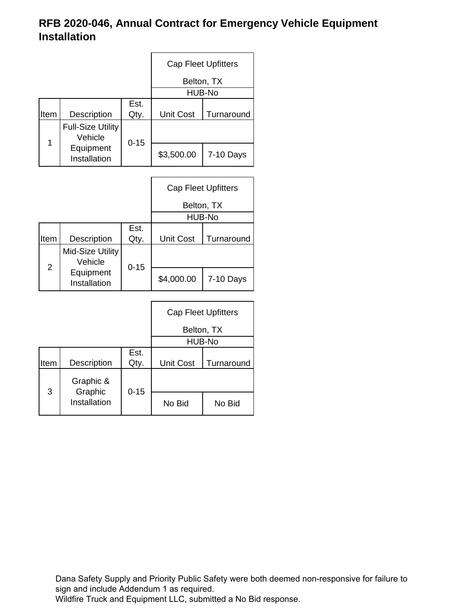|      |                                     |              | <b>Cap Fleet Upfitters</b> |                            |  |
|------|-------------------------------------|--------------|----------------------------|----------------------------|--|
|      |                                     |              | Belton, TX                 |                            |  |
|      |                                     |              |                            | HUB-No                     |  |
| Item | <b>Description</b>                  | Est.<br>Qty. | <b>Unit Cost</b>           | Turnaround                 |  |
|      | <b>Full-Size Utility</b><br>Vehicle |              |                            |                            |  |
| 1    | Equipment<br>Installation           | $0 - 15$     | \$3,500.00                 | 7-10 Days                  |  |
|      |                                     |              |                            |                            |  |
|      |                                     |              |                            | <b>Cap Fleet Upfitters</b> |  |

|                |                             |              |                  | Belton, TX<br>HUB-No |
|----------------|-----------------------------|--------------|------------------|----------------------|
| Item           | Description                 | Est.<br>Qty. | <b>Unit Cost</b> | Turnaround           |
| $\overline{2}$ | Mid-Size Utility<br>Vehicle | $0 - 15$     |                  |                      |
|                | Equipment<br>Installation   |              | \$4,000.00       | 7-10 Days            |

|      |                      |              |                  | <b>Cap Fleet Upfitters</b> |
|------|----------------------|--------------|------------------|----------------------------|
|      |                      |              |                  | Belton, TX                 |
|      |                      |              |                  | HUB-No                     |
| Item | Description          | Est.<br>Qty. | <b>Unit Cost</b> | Turnaround                 |
| 3    | Graphic &<br>Graphic | $0 - 15$     |                  |                            |
|      | Installation         |              | No Bid           | No Bid                     |

Dana Safety Supply and Priority Public Safety were both deemed non-responsive for failure to sign and include Addendum 1 as required.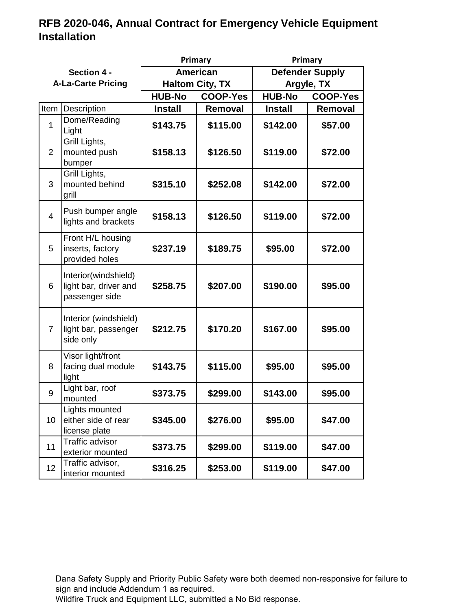| Primary                   |                                                                 |                        |                 | Primary                |                 |  |
|---------------------------|-----------------------------------------------------------------|------------------------|-----------------|------------------------|-----------------|--|
| Section 4 -               |                                                                 |                        | <b>American</b> | <b>Defender Supply</b> |                 |  |
| <b>A-La-Carte Pricing</b> |                                                                 | <b>Haltom City, TX</b> |                 |                        | Argyle, TX      |  |
|                           |                                                                 | <b>HUB-No</b>          | <b>COOP-Yes</b> | <b>HUB-No</b>          | <b>COOP-Yes</b> |  |
| Item                      | Description                                                     | <b>Install</b>         | Removal         | <b>Install</b>         | Removal         |  |
| 1                         | Dome/Reading<br>Light                                           | \$143.75               | \$115.00        | \$142.00               | \$57.00         |  |
| $\overline{2}$            | Grill Lights,<br>mounted push<br>bumper                         | \$158.13               | \$126.50        | \$119.00               | \$72.00         |  |
| 3                         | Grill Lights,<br>mounted behind<br>grill                        | \$315.10               | \$252.08        | \$142.00               | \$72.00         |  |
| $\overline{4}$            | Push bumper angle<br>lights and brackets                        | \$158.13               | \$126.50        | \$119.00               | \$72.00         |  |
| 5                         | Front H/L housing<br>inserts, factory<br>provided holes         | \$237.19               | \$189.75        | \$95.00                | \$72.00         |  |
| 6                         | Interior(windshield)<br>light bar, driver and<br>passenger side | \$258.75               | \$207.00        | \$190.00               | \$95.00         |  |
| $\overline{7}$            | Interior (windshield)<br>light bar, passenger<br>side only      | \$212.75               | \$170.20        | \$167.00               | \$95.00         |  |
| 8                         | Visor light/front<br>facing dual module<br>light                | \$143.75               | \$115.00        | \$95.00                | \$95.00         |  |
| 9                         | Light bar, roof<br>mounted                                      | \$373.75               | \$299.00        | \$143.00               | \$95.00         |  |
| 10                        | Lights mounted<br>either side of rear<br>license plate          | \$345.00               | \$276.00        | \$95.00                | \$47.00         |  |
| 11                        | Traffic advisor<br>exterior mounted                             | \$373.75               | \$299.00        | \$119.00               | \$47.00         |  |
| 12 <sub>2</sub>           | Traffic advisor,<br>interior mounted                            | \$316.25               | \$253.00        | \$119.00               | \$47.00         |  |

Dana Safety Supply and Priority Public Safety were both deemed non-responsive for failure to sign and include Addendum 1 as required.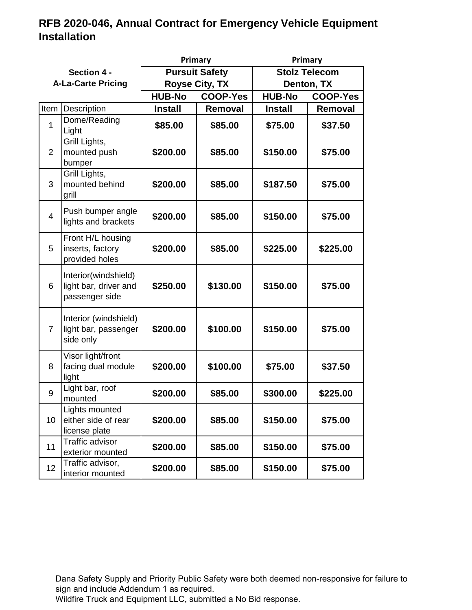|                           |                                                                 |                       | Primary         | Primary              |                 |  |
|---------------------------|-----------------------------------------------------------------|-----------------------|-----------------|----------------------|-----------------|--|
| Section 4 -               |                                                                 | <b>Pursuit Safety</b> |                 | <b>Stolz Telecom</b> |                 |  |
| <b>A-La-Carte Pricing</b> |                                                                 | <b>Royse City, TX</b> |                 | Denton, TX           |                 |  |
|                           |                                                                 | <b>HUB-No</b>         | <b>COOP-Yes</b> | <b>HUB-No</b>        | <b>COOP-Yes</b> |  |
| Item                      | Description                                                     | <b>Install</b>        | Removal         | <b>Install</b>       | <b>Removal</b>  |  |
| 1                         | Dome/Reading<br>Light                                           | \$85.00               | \$85.00         | \$75.00              | \$37.50         |  |
| $\overline{2}$            | Grill Lights,<br>mounted push<br>bumper                         | \$200.00              | \$85.00         | \$150.00             | \$75.00         |  |
| 3                         | Grill Lights,<br>mounted behind<br>grill                        | \$200.00              | \$85.00         | \$187.50             | \$75.00         |  |
| $\overline{4}$            | Push bumper angle<br>lights and brackets                        | \$200.00              | \$85.00         | \$150.00             | \$75.00         |  |
| 5                         | Front H/L housing<br>inserts, factory<br>provided holes         | \$200.00              | \$85.00         | \$225.00             | \$225.00        |  |
| 6                         | Interior(windshield)<br>light bar, driver and<br>passenger side | \$250.00              | \$130.00        | \$150.00             | \$75.00         |  |
| $\overline{7}$            | Interior (windshield)<br>light bar, passenger<br>side only      | \$200.00              | \$100.00        | \$150.00             | \$75.00         |  |
| 8                         | Visor light/front<br>facing dual module<br>light                | \$200.00              | \$100.00        | \$75.00              | \$37.50         |  |
| 9                         | Light bar, roof<br>mounted                                      | \$200.00              | \$85.00         | \$300.00             | \$225.00        |  |
| 10                        | Lights mounted<br>either side of rear<br>license plate          | \$200.00              | \$85.00         | \$150.00             | \$75.00         |  |
| 11                        | Traffic advisor<br>exterior mounted                             | \$200.00              | \$85.00         | \$150.00             | \$75.00         |  |
| 12 <sub>2</sub>           | Traffic advisor,<br>interior mounted                            | \$200.00              | \$85.00         | \$150.00             | \$75.00         |  |

Dana Safety Supply and Priority Public Safety were both deemed non-responsive for failure to sign and include Addendum 1 as required.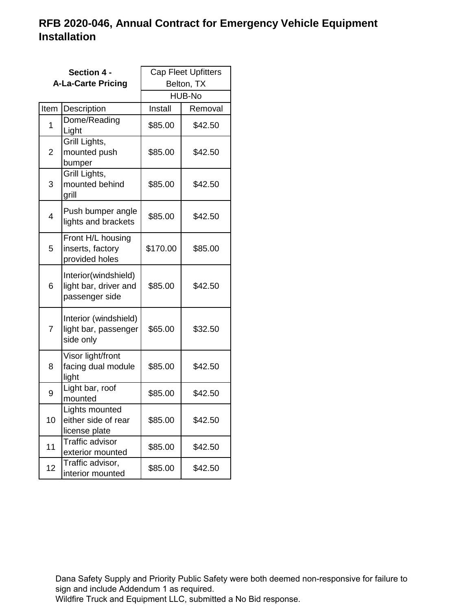|      | Section 4 -                                                     | <b>Cap Fleet Upfitters</b> |         |  |
|------|-----------------------------------------------------------------|----------------------------|---------|--|
|      | <b>A-La-Carte Pricing</b>                                       | Belton, TX                 |         |  |
|      |                                                                 | HUB-No                     |         |  |
| Item | Description                                                     | Install                    | Removal |  |
| 1    | Dome/Reading<br>Light                                           | \$85.00                    | \$42.50 |  |
| 2    | Grill Lights,<br>mounted push<br>bumper                         | \$85.00                    | \$42.50 |  |
| 3    | Grill Lights,<br>mounted behind<br>grill                        | \$85.00                    | \$42.50 |  |
| 4    | Push bumper angle<br>lights and brackets                        | \$85.00                    | \$42.50 |  |
| 5    | Front H/L housing<br>inserts, factory<br>provided holes         | \$170.00                   | \$85.00 |  |
| 6    | Interior(windshield)<br>light bar, driver and<br>passenger side | \$85.00                    | \$42.50 |  |
| 7    | Interior (windshield)<br>light bar, passenger<br>side only      | \$65.00                    | \$32.50 |  |
| 8    | Visor light/front<br>facing dual module<br>light                | \$85.00                    | \$42.50 |  |
| 9    | Light bar, roof<br>mounted                                      | \$85.00                    | \$42.50 |  |
| 10   | Lights mounted<br>either side of rear<br>license plate          | \$85.00                    | \$42.50 |  |
| 11   | <b>Traffic advisor</b><br>exterior mounted                      | \$85.00                    | \$42.50 |  |
| 12   | Traffic advisor,<br>interior mounted                            | \$85.00                    | \$42.50 |  |

Dana Safety Supply and Priority Public Safety were both deemed non-responsive for failure to sign and include Addendum 1 as required.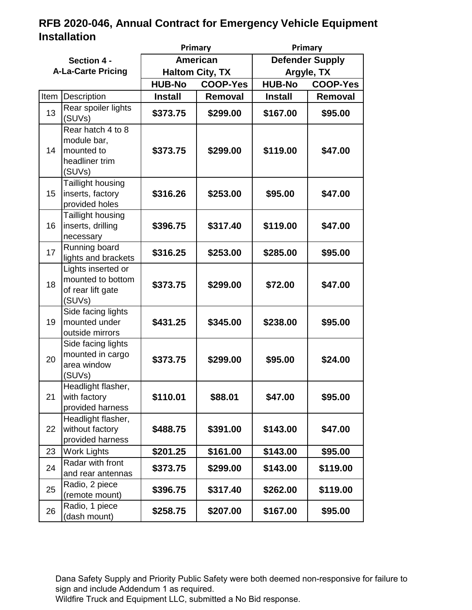|                           |                                                                            | Primary                |                 | Primary                |                 |
|---------------------------|----------------------------------------------------------------------------|------------------------|-----------------|------------------------|-----------------|
| Section 4 -               |                                                                            | <b>American</b>        |                 | <b>Defender Supply</b> |                 |
| <b>A-La-Carte Pricing</b> |                                                                            | <b>Haltom City, TX</b> |                 | Argyle, TX             |                 |
|                           |                                                                            | <b>HUB-No</b>          | <b>COOP-Yes</b> | <b>HUB-No</b>          | <b>COOP-Yes</b> |
| Item                      | Description                                                                | <b>Install</b>         | <b>Removal</b>  | <b>Install</b>         | Removal         |
| 13                        | Rear spoiler lights<br>(SUVs)                                              | \$373.75               | \$299.00        | \$167.00               | \$95.00         |
| 14                        | Rear hatch 4 to 8<br>module bar,<br>mounted to<br>headliner trim<br>(SUVs) | \$373.75               | \$299.00        | \$119.00               | \$47.00         |
| 15                        | Taillight housing<br>inserts, factory<br>provided holes                    | \$316.26               | \$253.00        | \$95.00                | \$47.00         |
| 16                        | Taillight housing<br>inserts, drilling<br>necessary                        | \$396.75               | \$317.40        | \$119.00               | \$47.00         |
| 17                        | Running board<br>lights and brackets                                       | \$316.25               | \$253.00        | \$285.00               | \$95.00         |
| 18                        | Lights inserted or<br>mounted to bottom<br>of rear lift gate<br>(SUVs)     | \$373.75               | \$299.00        | \$72.00                | \$47.00         |
| 19                        | Side facing lights<br>mounted under<br>outside mirrors                     | \$431.25               | \$345.00        | \$238.00               | \$95.00         |
| 20                        | Side facing lights<br>mounted in cargo<br>area window<br>(SUVs)            | \$373.75               | \$299.00        | \$95.00                | \$24.00         |
| 21                        | Headlight flasher,<br>with factory<br>provided harness                     | \$110.01               | \$88.01         | \$47.00                | \$95.00         |
| 22                        | Headlight flasher,<br>without factory<br>provided harness                  | \$488.75               | \$391.00        | \$143.00               | \$47.00         |
| 23                        | <b>Work Lights</b>                                                         | \$201.25               | \$161.00        | \$143.00               | \$95.00         |
| 24                        | Radar with front<br>and rear antennas                                      | \$373.75               | \$299.00        | \$143.00               | \$119.00        |
| 25                        | Radio, 2 piece<br>(remote mount)                                           | \$396.75               | \$317.40        | \$262.00               | \$119.00        |
| 26                        | Radio, 1 piece<br>(dash mount)                                             | \$258.75               | \$207.00        | \$167.00               | \$95.00         |

Dana Safety Supply and Priority Public Safety were both deemed non-responsive for failure to sign and include Addendum 1 as required.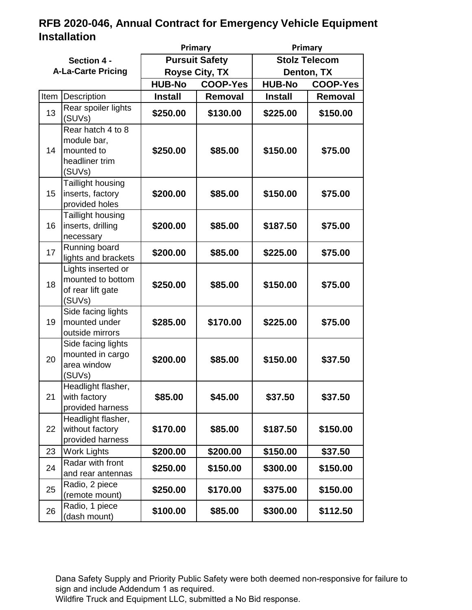|                           |                                                                            |                                  | Primary  |                                  | Primary  |  |
|---------------------------|----------------------------------------------------------------------------|----------------------------------|----------|----------------------------------|----------|--|
| Section 4 -               |                                                                            | <b>Pursuit Safety</b>            |          | <b>Stolz Telecom</b>             |          |  |
| <b>A-La-Carte Pricing</b> |                                                                            | <b>Royse City, TX</b>            |          | Denton, TX                       |          |  |
|                           |                                                                            | <b>HUB-No</b><br><b>COOP-Yes</b> |          | <b>HUB-No</b><br><b>COOP-Yes</b> |          |  |
| Item                      | Description                                                                | <b>Install</b>                   | Removal  | <b>Install</b>                   | Removal  |  |
| 13                        | Rear spoiler lights<br>(SUVs)                                              | \$250.00                         | \$130.00 | \$225.00                         | \$150.00 |  |
| 14                        | Rear hatch 4 to 8<br>module bar,<br>mounted to<br>headliner trim<br>(SUVs) | \$250.00                         | \$85.00  | \$150.00                         | \$75.00  |  |
| 15 <sub>1</sub>           | Taillight housing<br>inserts, factory<br>provided holes                    | \$200.00                         | \$85.00  | \$150.00                         | \$75.00  |  |
| 16                        | Taillight housing<br>inserts, drilling<br>necessary                        | \$200.00                         | \$85.00  | \$187.50                         | \$75.00  |  |
| 17                        | Running board<br>lights and brackets                                       | \$200.00                         | \$85.00  | \$225.00                         | \$75.00  |  |
| 18                        | Lights inserted or<br>mounted to bottom<br>of rear lift gate<br>(SUVs)     | \$250.00                         | \$85.00  | \$150.00                         | \$75.00  |  |
| 19                        | Side facing lights<br>mounted under<br>outside mirrors                     | \$285.00                         | \$170.00 | \$225.00                         | \$75.00  |  |
| 20                        | Side facing lights<br>mounted in cargo<br>area window<br>(SUVs)            | \$200.00                         | \$85.00  | \$150.00                         | \$37.50  |  |
| 21                        | Headlight flasher,<br>with factory<br>provided harness                     | \$85.00                          | \$45.00  | \$37.50                          | \$37.50  |  |
| 22                        | Headlight flasher,<br>without factory<br>provided harness                  | \$170.00                         | \$85.00  | \$187.50                         | \$150.00 |  |
| 23                        | <b>Work Lights</b>                                                         | \$200.00                         | \$200.00 | \$150.00                         | \$37.50  |  |
| 24                        | Radar with front<br>and rear antennas                                      | \$250.00                         | \$150.00 | \$300.00                         | \$150.00 |  |
| 25                        | Radio, 2 piece<br>(remote mount)                                           | \$250.00                         | \$170.00 | \$375.00                         | \$150.00 |  |
| 26                        | Radio, 1 piece<br>(dash mount)                                             | \$100.00                         | \$85.00  | \$300.00                         | \$112.50 |  |

Dana Safety Supply and Priority Public Safety were both deemed non-responsive for failure to sign and include Addendum 1 as required.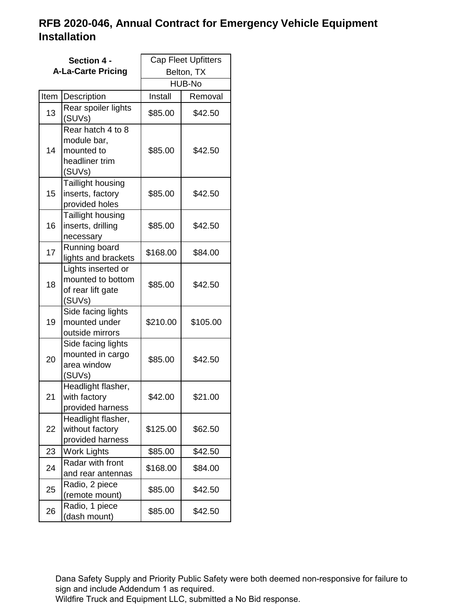|      | Section 4 -<br><b>A-La-Carte Pricing</b>                                                | <b>Cap Fleet Upfitters</b><br>Belton, TX |          |  |
|------|-----------------------------------------------------------------------------------------|------------------------------------------|----------|--|
|      |                                                                                         | HUB-No                                   |          |  |
| Item | Description                                                                             | Install                                  | Removal  |  |
| 13   | Rear spoiler lights<br>(SUVs)                                                           | \$85.00                                  | \$42.50  |  |
| 14   | Rear hatch 4 to $\overline{8}$<br>module bar,<br>mounted to<br>headliner trim<br>(SUVs) | \$85.00                                  | \$42.50  |  |
| 15   | Taillight housing<br>inserts, factory<br>provided holes                                 | \$85.00                                  | \$42.50  |  |
| 16   | Taillight housing<br>inserts, drilling<br>necessary                                     | \$85.00                                  | \$42.50  |  |
| 17   | Running board<br>lights and brackets                                                    | \$168.00                                 | \$84.00  |  |
| 18   | Lights inserted or<br>mounted to bottom<br>of rear lift gate<br>(SUVs)                  | \$85.00                                  | \$42.50  |  |
| 19   | Side facing lights<br>mounted under<br>outside mirrors                                  | \$210.00                                 | \$105.00 |  |
| 20   | Side facing lights<br>mounted in cargo<br>area window<br>(SUVs)                         | \$85.00                                  | \$42.50  |  |
| 21   | Headlight flasher,<br>with factory<br>provided harness                                  | \$42.00                                  | \$21.00  |  |
| 22   | Headlight flasher,<br>without factory<br>provided harness                               | \$125.00                                 | \$62.50  |  |
| 23   | <b>Work Lights</b>                                                                      | \$85.00                                  | \$42.50  |  |
| 24   | Radar with front<br>and rear antennas                                                   | \$168.00                                 | \$84.00  |  |
| 25   | Radio, 2 piece<br>(remote mount)                                                        | \$85.00                                  | \$42.50  |  |
| 26   | Radio, 1 piece<br>(dash mount)                                                          | \$85.00                                  | \$42.50  |  |

Dana Safety Supply and Priority Public Safety were both deemed non-responsive for failure to sign and include Addendum 1 as required.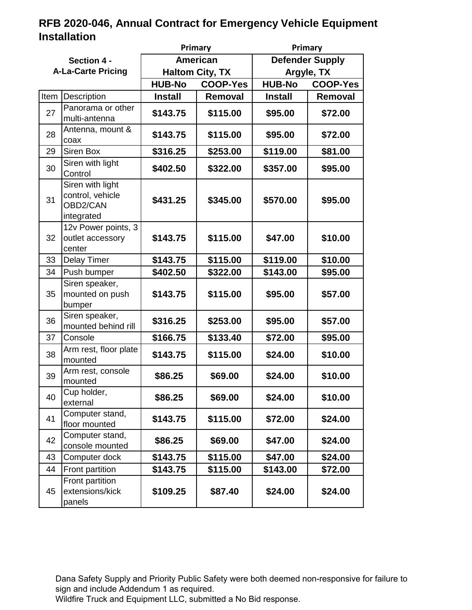|                           |                                                                | Primary                          |          | Primary                          |         |
|---------------------------|----------------------------------------------------------------|----------------------------------|----------|----------------------------------|---------|
| Section 4 -               |                                                                | American                         |          | <b>Defender Supply</b>           |         |
| <b>A-La-Carte Pricing</b> |                                                                | <b>Haltom City, TX</b>           |          | Argyle, TX                       |         |
|                           |                                                                | <b>HUB-No</b><br><b>COOP-Yes</b> |          | <b>HUB-No</b><br><b>COOP-Yes</b> |         |
|                           | Item   Description                                             | <b>Install</b>                   | Removal  | <b>Install</b>                   | Removal |
| 27                        | Panorama or other<br>multi-antenna                             | \$143.75                         | \$115.00 | \$95.00                          | \$72.00 |
| 28                        | Antenna, mount &<br>coax                                       | \$143.75                         | \$115.00 | \$95.00                          | \$72.00 |
| 29                        | Siren Box                                                      | \$316.25                         | \$253.00 | \$119.00                         | \$81.00 |
| 30                        | Siren with light<br>Control                                    | \$402.50                         | \$322.00 | \$357.00                         | \$95.00 |
| 31                        | Siren with light<br>control, vehicle<br>OBD2/CAN<br>integrated | \$431.25                         | \$345.00 | \$570.00                         | \$95.00 |
| 32                        | 12v Power points, 3<br>outlet accessory<br>center              | \$143.75                         | \$115.00 | \$47.00                          | \$10.00 |
| 33                        | Delay Timer                                                    | \$143.75                         | \$115.00 | \$119.00                         | \$10.00 |
| 34                        | Push bumper                                                    | \$402.50                         | \$322.00 | \$143.00                         | \$95.00 |
| 35                        | Siren speaker,<br>mounted on push<br>bumper                    | \$143.75                         | \$115.00 | \$95.00                          | \$57.00 |
| 36                        | Siren speaker,<br>mounted behind rill                          | \$316.25                         | \$253.00 | \$95.00                          | \$57.00 |
| 37                        | Console                                                        | \$166.75                         | \$133.40 | \$72.00                          | \$95.00 |
| 38                        | Arm rest, floor plate<br>mounted                               | \$143.75                         | \$115.00 | \$24.00                          | \$10.00 |
| 39                        | Arm rest, console<br>mounted                                   | \$86.25                          | \$69.00  | \$24.00                          | \$10.00 |
| 40                        | Cup holder,<br>external                                        | \$86.25                          | \$69.00  | \$24.00                          | \$10.00 |
| 41                        | Computer stand,<br>floor mounted                               | \$143.75                         | \$115.00 | \$72.00                          | \$24.00 |
| 42                        | Computer stand,<br>console mounted                             | \$86.25                          | \$69.00  | \$47.00                          | \$24.00 |
| 43                        | Computer dock                                                  | \$143.75                         | \$115.00 | \$47.00                          | \$24.00 |
| 44                        | Front partition                                                | \$143.75                         | \$115.00 | \$143.00                         | \$72.00 |
| 45                        | Front partition<br>extensions/kick<br>panels                   | \$109.25                         | \$87.40  | \$24.00                          | \$24.00 |

Dana Safety Supply and Priority Public Safety were both deemed non-responsive for failure to sign and include Addendum 1 as required.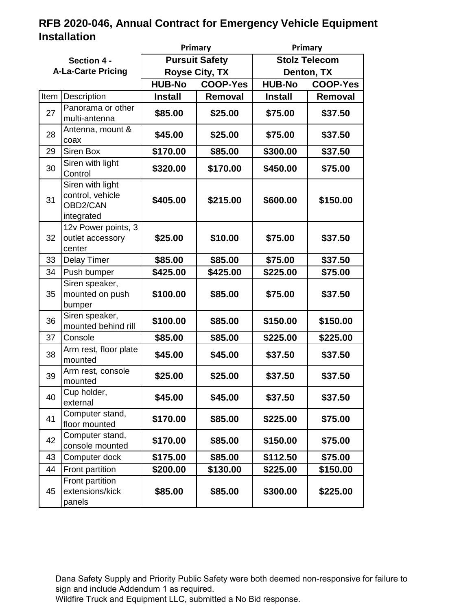|                           |                                                                |                                  | Primary  |                      | Primary         |  |
|---------------------------|----------------------------------------------------------------|----------------------------------|----------|----------------------|-----------------|--|
| Section 4 -               |                                                                | <b>Pursuit Safety</b>            |          | <b>Stolz Telecom</b> |                 |  |
| <b>A-La-Carte Pricing</b> |                                                                | <b>Royse City, TX</b>            |          | Denton, TX           |                 |  |
|                           |                                                                | <b>HUB-No</b><br><b>COOP-Yes</b> |          | <b>HUB-No</b>        | <b>COOP-Yes</b> |  |
| Item                      | Description                                                    | <b>Install</b>                   | Removal  | <b>Install</b>       | Removal         |  |
| 27                        | Panorama or other<br>multi-antenna                             | \$85.00                          | \$25.00  | \$75.00              | \$37.50         |  |
| 28                        | Antenna, mount &<br>coax                                       | \$45.00                          | \$25.00  | \$75.00              | \$37.50         |  |
| 29                        | Siren Box                                                      | \$170.00                         | \$85.00  | \$300.00             | \$37.50         |  |
| 30                        | Siren with light<br>Control                                    | \$320.00                         | \$170.00 | \$450.00             | \$75.00         |  |
| 31                        | Siren with light<br>control, vehicle<br>OBD2/CAN<br>integrated | \$405.00                         | \$215.00 | \$600.00             | \$150.00        |  |
| 32                        | 12v Power points, 3<br>outlet accessory<br>center              | \$25.00                          | \$10.00  | \$75.00              | \$37.50         |  |
| 33                        | <b>Delay Timer</b>                                             | \$85.00                          | \$85.00  | \$75.00              | \$37.50         |  |
| 34                        | Push bumper                                                    | \$425.00                         | \$425.00 | \$225.00             | \$75.00         |  |
| 35                        | Siren speaker,<br>mounted on push<br>bumper                    | \$100.00                         | \$85.00  | \$75.00              | \$37.50         |  |
| 36                        | Siren speaker,<br>mounted behind rill                          | \$100.00                         | \$85.00  | \$150.00             | \$150.00        |  |
| 37                        | Console                                                        | \$85.00                          | \$85.00  | \$225.00             | \$225.00        |  |
| 38                        | Arm rest, floor plate<br>mounted                               | \$45.00                          | \$45.00  | \$37.50              | \$37.50         |  |
| 39                        | Arm rest, console<br>mounted                                   | \$25.00                          | \$25.00  | \$37.50              | \$37.50         |  |
| 40                        | Cup holder,<br>external                                        | \$45.00                          | \$45.00  | \$37.50              | \$37.50         |  |
| 41                        | Computer stand,<br>floor mounted                               | \$170.00                         | \$85.00  | \$225.00             | \$75.00         |  |
| 42                        | Computer stand,<br>console mounted                             | \$170.00                         | \$85.00  | \$150.00             | \$75.00         |  |
| 43                        | Computer dock                                                  | \$175.00                         | \$85.00  | \$112.50             | \$75.00         |  |
| 44                        | Front partition                                                | \$200.00                         | \$130.00 | \$225.00             | \$150.00        |  |
| 45                        | Front partition<br>extensions/kick<br>panels                   | \$85.00                          | \$85.00  | \$300.00             | \$225.00        |  |

Dana Safety Supply and Priority Public Safety were both deemed non-responsive for failure to sign and include Addendum 1 as required.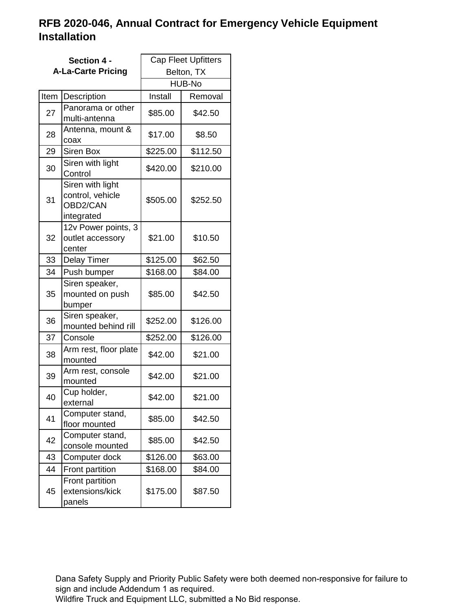|      | Section 4 -                                                    | <b>Cap Fleet Upfitters</b> |          |  |
|------|----------------------------------------------------------------|----------------------------|----------|--|
|      | <b>A-La-Carte Pricing</b>                                      | Belton, TX                 |          |  |
|      |                                                                |                            | HUB-No   |  |
| Item | Description                                                    | Install                    | Removal  |  |
| 27   | Panorama or other<br>multi-antenna                             | \$85.00                    | \$42.50  |  |
| 28   | Antenna, mount &<br>coax                                       | \$17.00                    | \$8.50   |  |
| 29   | Siren Box                                                      | \$225.00                   | \$112.50 |  |
| 30   | Siren with light<br>Control                                    | \$420.00                   | \$210.00 |  |
| 31   | Siren with light<br>control, vehicle<br>OBD2/CAN<br>integrated | \$505.00                   | \$252.50 |  |
| 32   | 12v Power points, 3<br>outlet accessory<br>center              | \$21.00                    | \$10.50  |  |
| 33   | <b>Delay Timer</b>                                             | \$125.00                   | \$62.50  |  |
| 34   | Push bumper                                                    | \$168.00                   | \$84.00  |  |
| 35   | Siren speaker,<br>mounted on push<br>bumper                    | \$85.00                    | \$42.50  |  |
| 36   | Siren speaker,<br>mounted behind rill                          | \$252.00                   | \$126.00 |  |
| 37   | Console                                                        | \$252.00                   | \$126.00 |  |
| 38   | Arm rest, floor plate<br>mounted                               | \$42.00                    | \$21.00  |  |
| 39   | Arm rest, console<br>mounted                                   | \$42.00                    | \$21.00  |  |
| 40   | Cup holder,<br>external                                        | \$42.00                    | \$21.00  |  |
| 41   | Computer stand,<br>floor mounted                               | \$85.00                    | \$42.50  |  |
| 42   | Computer stand,<br>console mounted                             | \$85.00                    | \$42.50  |  |
| 43   | Computer dock                                                  | \$126.00                   | \$63.00  |  |
| 44   | Front partition                                                | \$168.00                   | \$84.00  |  |
| 45   | Front partition<br>extensions/kick<br>panels                   | \$175.00                   | \$87.50  |  |

Dana Safety Supply and Priority Public Safety were both deemed non-responsive for failure to sign and include Addendum 1 as required.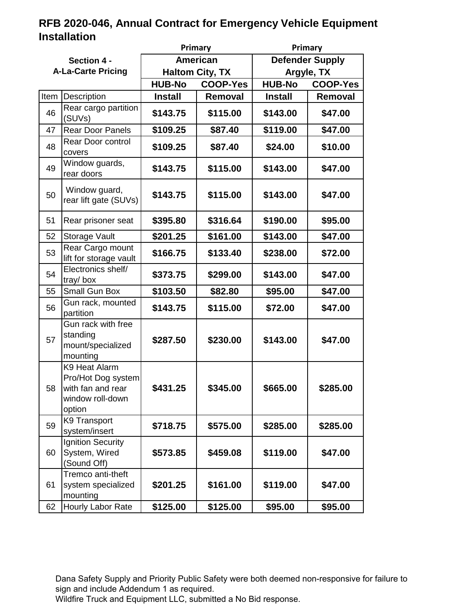|                           |                                                                                        | Primary                          |          | Primary                          |          |
|---------------------------|----------------------------------------------------------------------------------------|----------------------------------|----------|----------------------------------|----------|
| Section 4 -               |                                                                                        | <b>American</b>                  |          | <b>Defender Supply</b>           |          |
| <b>A-La-Carte Pricing</b> |                                                                                        | <b>Haltom City, TX</b>           |          | Argyle, TX                       |          |
|                           |                                                                                        | <b>HUB-No</b><br><b>COOP-Yes</b> |          | <b>HUB-No</b><br><b>COOP-Yes</b> |          |
| Item                      | Description                                                                            | <b>Install</b>                   | Removal  | <b>Install</b>                   | Removal  |
| 46                        | Rear cargo partition<br>(SUVs)                                                         | \$143.75                         | \$115.00 | \$143.00                         | \$47.00  |
| 47                        | <b>Rear Door Panels</b>                                                                | \$109.25                         | \$87.40  | \$119.00                         | \$47.00  |
| 48                        | Rear Door control<br>covers                                                            | \$109.25                         | \$87.40  | \$24.00                          | \$10.00  |
| 49                        | Window guards,<br>rear doors                                                           | \$143.75                         | \$115.00 | \$143.00                         | \$47.00  |
| 50                        | Window guard,<br>rear lift gate (SUVs)                                                 | \$143.75                         | \$115.00 | \$143.00                         | \$47.00  |
| 51                        | Rear prisoner seat                                                                     | \$395.80                         | \$316.64 | \$190.00                         | \$95.00  |
| 52                        | Storage Vault                                                                          | \$201.25                         | \$161.00 | \$143.00                         | \$47.00  |
| 53                        | Rear Cargo mount<br>lift for storage vault                                             | \$166.75                         | \$133.40 | \$238.00                         | \$72.00  |
| 54                        | Electronics shelf/<br>tray/box                                                         | \$373.75                         | \$299.00 | \$143.00                         | \$47.00  |
| 55                        | Small Gun Box                                                                          | \$103.50                         | \$82.80  | \$95.00                          | \$47.00  |
| 56                        | Gun rack, mounted<br>partition                                                         | \$143.75                         | \$115.00 | \$72.00                          | \$47.00  |
| 57                        | Gun rack with free<br>standing<br>mount/specialized<br>mounting                        | \$287.50                         | \$230.00 | \$143.00                         | \$47.00  |
| 58.                       | K9 Heat Alarm<br>Pro/Hot Dog system<br>with fan and rear<br>window roll-down<br>option | \$431.25                         | \$345.00 | \$665.00                         | \$285.00 |
| 59                        | <b>K9 Transport</b><br>system/insert                                                   | \$718.75                         | \$575.00 | \$285.00                         | \$285.00 |
| 60                        | Ignition Security<br>System, Wired<br>(Sound Off)                                      | \$573.85                         | \$459.08 | \$119.00                         | \$47.00  |
| 61                        | Tremco anti-theft<br>system specialized<br>mounting                                    | \$201.25                         | \$161.00 | \$119.00                         | \$47.00  |
| 62                        | Hourly Labor Rate                                                                      | \$125.00                         | \$125.00 | \$95.00                          | \$95.00  |

Dana Safety Supply and Priority Public Safety were both deemed non-responsive for failure to sign and include Addendum 1 as required.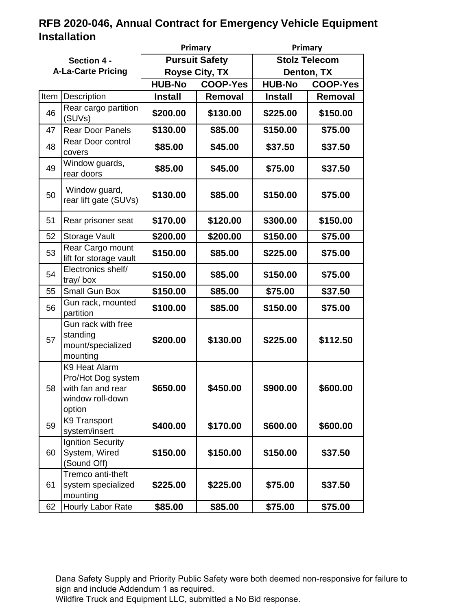|                           |                                                                                        |                                  | Primary<br>Primary |                      |                 |
|---------------------------|----------------------------------------------------------------------------------------|----------------------------------|--------------------|----------------------|-----------------|
| Section 4 -               |                                                                                        | <b>Pursuit Safety</b>            |                    | <b>Stolz Telecom</b> |                 |
| <b>A-La-Carte Pricing</b> |                                                                                        | <b>Royse City, TX</b>            |                    | Denton, TX           |                 |
|                           |                                                                                        | <b>HUB-No</b><br><b>COOP-Yes</b> |                    | <b>HUB-No</b>        | <b>COOP-Yes</b> |
| Item                      | Description                                                                            | <b>Install</b>                   | <b>Removal</b>     | <b>Install</b>       | Removal         |
| 46                        | Rear cargo partition<br>(SUVs)                                                         | \$200.00                         | \$130.00           | \$225.00             | \$150.00        |
| 47                        | <b>Rear Door Panels</b>                                                                | \$130.00                         | \$85.00            | \$150.00             | \$75.00         |
| 48                        | Rear Door control<br>covers                                                            | \$85.00                          | \$45.00            | \$37.50              | \$37.50         |
| 49                        | Window guards,<br>rear doors                                                           | \$85.00                          | \$45.00            | \$75.00              | \$37.50         |
| 50                        | Window guard,<br>rear lift gate (SUVs)                                                 | \$130.00                         | \$85.00            | \$150.00             | \$75.00         |
| 51                        | Rear prisoner seat                                                                     | \$170.00                         | \$120.00           | \$300.00             | \$150.00        |
| 52                        | <b>Storage Vault</b>                                                                   | \$200.00                         | \$200.00           | \$150.00             | \$75.00         |
| 53                        | Rear Cargo mount<br>lift for storage vault                                             | \$150.00                         | \$85.00            | \$225.00             | \$75.00         |
| 54                        | Electronics shelf/<br>tray/box                                                         | \$150.00                         | \$85.00            | \$150.00             | \$75.00         |
| 55                        | Small Gun Box                                                                          | \$150.00                         | \$85.00            | \$75.00              | \$37.50         |
| 56                        | Gun rack, mounted<br>partition                                                         | \$100.00                         | \$85.00            | \$150.00             | \$75.00         |
| 57                        | Gun rack with free<br>standing<br>mount/specialized<br>mounting                        | \$200.00                         | \$130.00           | \$225.00             | \$112.50        |
| 58                        | K9 Heat Alarm<br>Pro/Hot Dog system<br>with fan and rear<br>window roll-down<br>option | \$650.00                         | \$450.00           | \$900.00             | \$600.00        |
| 59                        | <b>K9 Transport</b><br>system/insert                                                   | \$400.00                         | \$170.00           | \$600.00             | \$600.00        |
| 60                        | <b>Ignition Security</b><br>System, Wired<br>(Sound Off)                               | \$150.00                         | \$150.00           | \$150.00             | \$37.50         |
| 61                        | Tremco anti-theft<br>system specialized<br>mounting                                    | \$225.00                         | \$225.00           | \$75.00              | \$37.50         |
| 62                        | Hourly Labor Rate                                                                      | \$85.00                          | \$85.00            | \$75.00              | \$75.00         |

Dana Safety Supply and Priority Public Safety were both deemed non-responsive for failure to sign and include Addendum 1 as required.